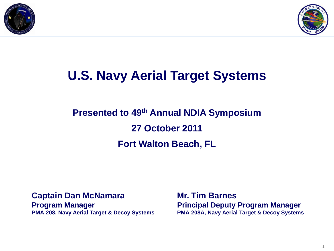



### **U.S. Navy Aerial Target Systems**

### **Presented to 49th Annual NDIA Symposium 27 October 2011 Fort Walton Beach, FL**

#### **Captain Dan McNamara**

**Program Manager PMA-208, Navy Aerial Target & Decoy Systems** **Mr. Tim Barnes Principal Deputy Program Manager PMA-208A, Navy Aerial Target & Decoy Systems**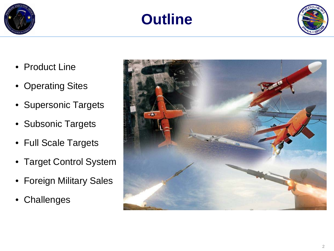



- Product Line
- Operating Sites
- Supersonic Targets
- Subsonic Targets
- Full Scale Targets
- Target Control System
- Foreign Military Sales
- Challenges

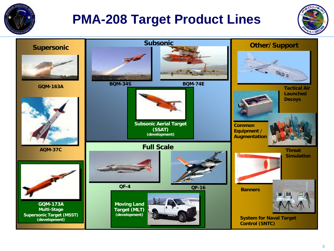

### **PMA-208 Target Product Lines**



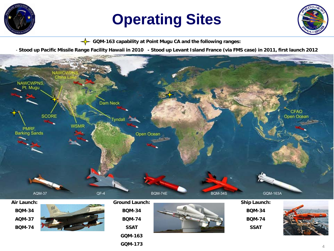

## **Operating Sites**



**GQM-163 capability at Point Mugu CA and the following ranges:**

- **Stood up Pacific Missile Range Facility Hawaii in 2010 - Stood up Levant Island France (via FMS case) in 2011, first launch 2012**



#### **BQM-34 AQM-37 BQM-74**



| ound Launch:  |
|---------------|
| <b>BOM-34</b> |
| <b>BOM-74</b> |
| <b>SSAT</b>   |
| GOM-163       |
| GQM-173       |



**BQM-34 BQM-74 SSAT**

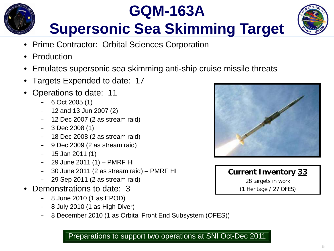## **GQM-163A Supersonic Sea Skimming Target**



- Prime Contractor: Orbital Sciences Corporation
- Production
- Emulates supersonic sea skimming anti-ship cruise missile threats
- Targets Expended to date: 17
- Operations to date: 11
	- $-6$  Oct 2005 (1)
	- 12 and 13 Jun 2007 (2)
	- 12 Dec 2007 (2 as stream raid)
	- $-$  3 Dec 2008 (1)
	- 18 Dec 2008 (2 as stream raid)
	- 9 Dec 2009 (2 as stream raid)
	- $-$  15 Jan 2011 (1)
	- 29 June 2011 (1) PMRF HI
	- 30 June 2011 (2 as stream raid) PMRF HI
	- 29 Sep 2011 (2 as stream raid)
- Demonstrations to date: 3
	- 8 June 2010 (1 as EPOD)
	- $-$  8 July 2010 (1 as High Diver)
	- 8 December 2010 (1 as Orbital Front End Subsystem (OFES))





Preparations to support two operations at SNI Oct-Dec 2011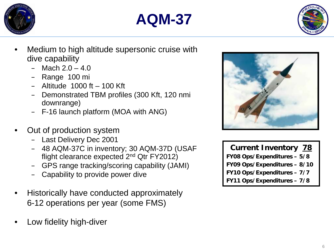





- Medium to high altitude supersonic cruise with dive capability
	- $-$  Mach  $2.0 4.0$
	- Range 100 mi
	- $-$  Altitude 1000 ft  $-$  100 Kft
	- Demonstrated TBM profiles (300 Kft, 120 nmi downrange)
	- F-16 launch platform (MOA with ANG)
- Out of production system
	- Last Delivery Dec 2001
	- 48 AQM-37C in inventory; 30 AQM-37D (USAF flight clearance expected 2nd Qtr FY2012)
	- GPS range tracking/scoring capability (JAMI)
	- Capability to provide power dive
- Historically have conducted approximately 6-12 operations per year (some FMS)
- Low fidelity high-diver



**Current Inventory 78 FY08 Ops/Expenditures – 5/8 FY09 Ops/Expenditures – 8/10 FY10 Ops/Expenditures – 7/7 FY11 Ops/Expenditures – 7/8**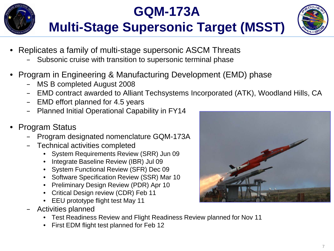

### **GQM-173A Multi-Stage Supersonic Target (MSST)**



- Replicates a family of multi-stage supersonic ASCM Threats
	- Subsonic cruise with transition to supersonic terminal phase
- Program in Engineering & Manufacturing Development (EMD) phase
	- MS B completed August 2008
	- EMD contract awarded to Alliant Techsystems Incorporated (ATK), Woodland Hills, CA
	- EMD effort planned for 4.5 years
	- Planned Initial Operational Capability in FY14
- Program Status
	- Program designated nomenclature GQM-173A
	- Technical activities completed
		- System Requirements Review (SRR) Jun 09
		- Integrate Baseline Review (IBR) Jul 09
		- System Functional Review (SFR) Dec 09
		- Software Specification Review (SSR) Mar 10
		- Preliminary Design Review (PDR) Apr 10
		- Critical Design review (CDR) Feb 11
		- EEU prototype flight test May 11
	- Activities planned
		- Test Readiness Review and Flight Readiness Review planned for Nov 11
		- First EDM flight test planned for Feb 12

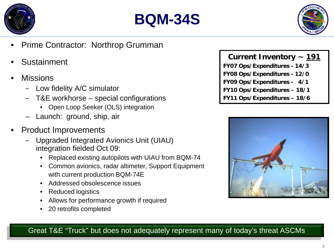





- Prime Contractor: Northrop Grumman
- **Sustainment**
- **Missions** 
	- Low fidelity A/C simulator
	- T&E workhorse special configurations
		- Open Loop Seeker (OLS) integration
	- Launch: ground, ship, air
- Product Improvements
	- Upgraded Integrated Avionics Unit (UIAU) integration fielded Oct 09:
		- Replaced existing autopilots with UIAU from BQM-74
		- Common avionics, radar altimeter, Support Equipment with current production BQM-74E
		- Addressed obsolescence issues
		- Reduced logistics
		- Allows for performance growth if required
		- 20 retrofits completed

**Current Inventory ~ 191 FY07 Ops/Expenditures - 14/3 FY08 Ops/Expenditures - 12/0 FY09 Ops/Expenditures - 4/1 FY10 Ops/Expenditures – 18/1 FY11 Ops/Expenditures – 18/6**



Great T&E "Truck" but does not adequately represent many of today's threat ASCMs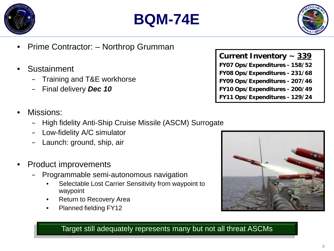





- Prime Contractor: Northrop Grumman
- **Sustainment** 
	- Training and T&E workhorse
	- Final delivery *Dec 10*
- Missions:
	- High fidelity Anti-Ship Cruise Missile (ASCM) Surrogate
	- Low-fidelity A/C simulator
	- Launch: ground, ship, air
- Product improvements
	- Programmable semi-autonomous navigation
		- Selectable Lost Carrier Sensitivity from waypoint to waypoint
		- **Return to Recovery Area**
		- Planned fielding FY12





Target still adequately represents many but not all threat ASCMs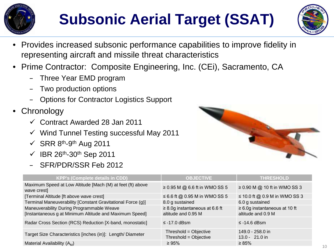

## **Subsonic Aerial Target (SSAT)**



- Provides increased subsonic performance capabilities to improve fidelity in representing aircraft and missile threat characteristics
- Prime Contractor: Composite Engineering, Inc. (CEi), Sacramento, CA
	- Three Year EMD program
	- Two production options
	- Options for Contractor Logistics Support
- Chronology
	- Contract Awarded 28 Jan 2011
	- $\checkmark$  Wind Tunnel Testing successful May 2011
	- $\checkmark$  SRR 8<sup>th</sup>-9<sup>th</sup> Aug 2011
	- $\checkmark$  IBR 26<sup>th</sup>-30<sup>th</sup> Sep 2011
	- SFR/PDR/SSR Feb 2012



| <b>KPP's (Complete details in CDD)</b>                                                               | <b>OBJECTIVE</b>                                           | <b>THRESHOLD</b>                                          |
|------------------------------------------------------------------------------------------------------|------------------------------------------------------------|-----------------------------------------------------------|
| Maximum Speed at Low Altitude [Mach (M) at feet (ft) above<br>wave crest]                            | $\geq$ 0.95 M @ 6.6 ft in WMO SS 5                         | $\geq$ 0.90 M @ 10 ft in WMO SS 3                         |
| [Terminal Altitude [ft above wave crest]                                                             | $\leq$ 6.6 ft @ 0.95 M in WMO SS 5                         | $\leq$ 10.0 ft @ 0.9 M in WMO SS 3                        |
| Terminal Maneuverability [Constant Gravitational Force (g)]                                          | 8.0 g sustained                                            | 6.0 g sustained                                           |
| Maneuverability During Programmable Weave<br>[Instantaneous g at Minimum Altitude and Maximum Speed] | $\geq$ 8.0g instantaneous at 6.6 ft<br>altitude and 0.95 M | $\geq 6.0$ g instantaneous at 10 ft<br>altitude and 0.9 M |
| Radar Cross Section (RCS) Reduction [X-band, monostatic]                                             | $\le$ -17.0 dBsm                                           | $\le$ -14.6 dBsm                                          |
| Target Size Characteristics [inches (in)]: Length/Diameter                                           | Threshold = Objective<br>Threshold = Objective             | 149.0 - 258.0 in<br>$13.0 - 21.0$ in                      |
| Material Availability $(A_M)$                                                                        | $\geq 95\%$                                                | $\geq 85\%$                                               |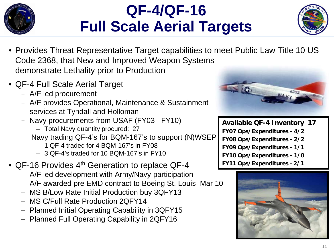

### **QF-4/QF-16 Full Scale Aerial Targets**



- Provides Threat Representative Target capabilities to meet Public Law Title 10 US Code 2368, that New and Improved Weapon Systems demonstrate Lethality prior to Production
- QF-4 Full Scale Aerial Target
	- A/F led procurement
	- A/F provides Operational, Maintenance & Sustainment services at Tyndall and Holloman
	- Navy procurements from USAF (FY03 –FY10)
		- Total Navy quantity procured: 27
	- Navy trading QF-4's for BQM-167's to support (N)WSEP
		- 1 QF-4 traded for 4 BQM-167's in FY08
		- 3 QF-4's traded for 10 BQM-167's in FY10
- QF-16 Provides 4<sup>th</sup> Generation to replace QF-4
	- A/F led development with Army/Navy participation
	- A/F awarded pre EMD contract to Boeing St. Louis Mar 10
	- MS B/Low Rate Initial Production buy 3QFY13
	- MS C/Full Rate Production 2QFY14
	- Planned Initial Operating Capability in 3QFY15
	- Planned Full Operating Capability in 2QFY16



**Available QF-4 Inventory 17 FY07 Ops/Expenditures - 4/2 FY08 Ops/Expenditures - 2/2 FY09 Ops/Expenditures - 1/1 FY10 Ops/Expenditures - 1/0 FY11 Ops/Expenditures –2/1**

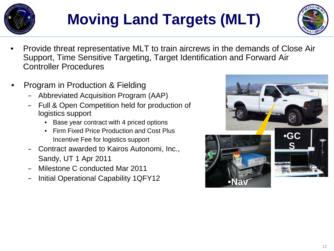

## **Moving Land Targets (MLT)**



- Provide threat representative MLT to train aircrews in the demands of Close Air Support, Time Sensitive Targeting, Target Identification and Forward Air Controller Procedures
- Program in Production & Fielding
	- Abbreviated Acquisition Program (AAP)
	- Full & Open Competition held for production of logistics support
		- Base year contract with 4 priced options
		- Firm Fixed Price Production and Cost Plus Incentive Fee for logistics support
	- Contract awarded to Kairos Autonomi, Inc., Sandy, UT 1 Apr 2011
	- Milestone C conducted Mar 2011
	- Initial Operational Capability 1QFY12

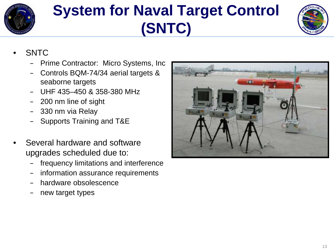

## **System for Naval Target Control (SNTC)**



- **SNTC** 
	- Prime Contractor: Micro Systems, Inc
	- Controls BQM-74/34 aerial targets & seaborne targets
	- UHF 435–450 & 358-380 MHz
	- 200 nm line of sight
	- 330 nm via Relay
	- Supports Training and T&E
- Several hardware and software upgrades scheduled due to:
	- frequency limitations and interference
	- information assurance requirements
	- hardware obsolescence
	- new target types

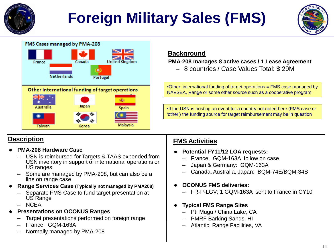

## **Foreign Military Sales (FMS)**





#### **Background**

 **PMA-208 manages 8 active cases / 1 Lease Agreement** 

– 8 countries / Case Values Total: \$ 29M

•Other international funding of target operations = FMS case managed by NAVSEA, Range or some other source such as a cooperative program

•If the USN is hosting an event for a country not noted here (FMS case or 'other') the funding source for target reimbursement may be in question

#### **Description**

- **PMA-208 Hardware Case**
	- USN is reimbursed for Targets & TAAS expended from USN inventory in support of international operations on US ranges
	- Some are managed by PMA-208, but can also be a line on range case
- **Range Services Case (Typically not managed by PMA208)**
	- Separate FMS Case to fund target presentation at US Range
	- NCEA
- **Presentations on OCONUS Ranges**
	- Target presentations performed on foreign range
	- France: GQM-163A
	- Normally managed by PMA-208

#### **FMS Activities**

- **Potential FY11/12 LOA requests:**
	- France: GQM-163A follow on case
	- Japan & Germany: GQM-163A
	- Canada, Australia, Japan: BQM-74E/BQM-34S
- **OCONUS FMS deliveries:**
	- FR-P-LGV; 1 GQM-163A sent to France in CY10
- **Typical FMS Range Sites**
	- Pt. Mugu / China Lake, CA
	- PMRF Barking Sands, HI
	- Atlantic Range Facilities, VA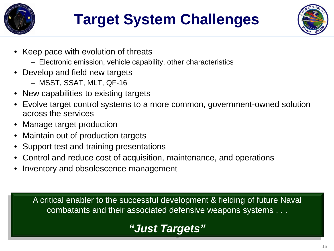

## **Target System Challenges**



- Keep pace with evolution of threats
	- Electronic emission, vehicle capability, other characteristics
- Develop and field new targets
	- MSST, SSAT, MLT, QF-16
- New capabilities to existing targets
- Evolve target control systems to a more common, government-owned solution across the services
- Manage target production
- Maintain out of production targets
- Support test and training presentations
- Control and reduce cost of acquisition, maintenance, and operations
- Inventory and obsolescence management

A critical enabler to the successful development & fielding of future Naval combatants and their associated defensive weapons systems . . .

### *"Just Targets"*